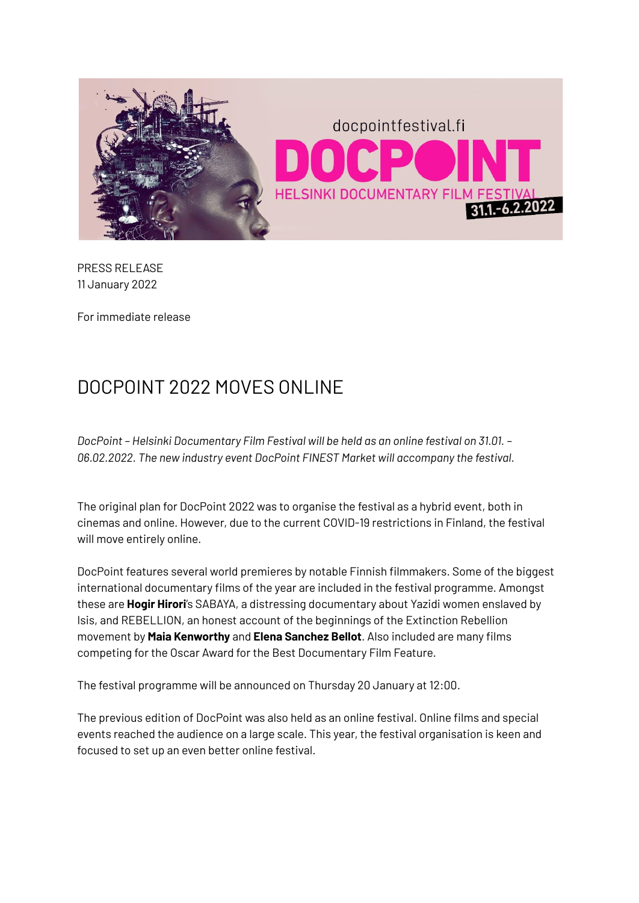

PRESS RELEASE 11 January 2022

For immediate release

## DOCPOINT 2022 MOVES ONLINE

*DocPoint – Helsinki Documentary Film Festival will be held as an online festival on 31.01. – 06.02.2022. The new industry event DocPoint FINEST Market will accompany the festival.*

The original plan for DocPoint 2022 was to organise the festival as a hybrid event, both in cinemas and online. However, due to the current COVID-19 restrictions in Finland, the festival will move entirely online.

DocPoint features several world premieres by notable Finnish filmmakers. Some of the biggest international documentary films of the year are included in the festival programme. Amongst these are **Hogir Hirori**'s SABAYA, a distressing documentary about Yazidi women enslaved by Isis, and REBELLION, an honest account of the beginnings of the Extinction Rebellion movement by **Maia Kenworthy** and **Elena Sanchez Bellot**. Also included are many films competing for the Oscar Award for the Best Documentary Film Feature.

The festival programme will be announced on Thursday 20 January at 12:00.

The previous edition of DocPoint was also held as an online festival. Online films and special events reached the audience on a large scale. This year, the festival organisation is keen and focused to set up an even better online festival.